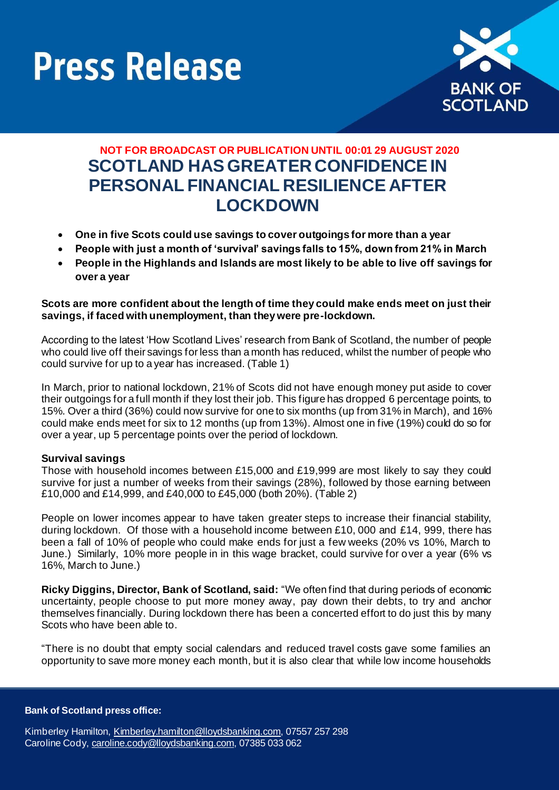



# **NOT FOR BROADCAST OR PUBLICATION UNTIL 00:01 29 AUGUST 2020 SCOTLAND HAS GREATER CONFIDENCE IN PERSONAL FINANCIAL RESILIENCE AFTER LOCKDOWN**

- **One in five Scots could use savings to cover outgoings for more than a year**
- **People with just a month of 'survival' savings falls to 15%, down from 21% in March**
- **People in the Highlands and Islands are most likely to be able to live off savings for over a year**

## **Scots are more confident about the length of time they could make ends meet on just their savings, if faced with unemployment, than they were pre-lockdown.**

According to the latest 'How Scotland Lives' research from Bank of Scotland, the number of people who could live off their savings for less than a month has reduced, whilst the number of people who could survive for up to a year has increased. (Table 1)

In March, prior to national lockdown, 21% of Scots did not have enough money put aside to cover their outgoings for a full month if they lost their job. This figure has dropped 6 percentage points, to 15%. Over a third (36%) could now survive for one to six months (up from 31% in March), and 16% could make ends meet for six to 12 months (up from 13%). Almost one in five (19%) could do so for over a year, up 5 percentage points over the period of lockdown.

### **Survival savings**

Those with household incomes between £15,000 and £19,999 are most likely to say they could survive for just a number of weeks from their savings (28%), followed by those earning between £10,000 and £14,999, and £40,000 to £45,000 (both 20%). (Table 2)

People on lower incomes appear to have taken greater steps to increase their financial stability, during lockdown. Of those with a household income between £10, 000 and £14, 999, there has been a fall of 10% of people who could make ends for just a few weeks (20% vs 10%, March to June.) Similarly, 10% more people in in this wage bracket, could survive for over a year (6% vs 16%, March to June.)

**Ricky Diggins, Director, Bank of Scotland, said:** "We often find that during periods of economic uncertainty, people choose to put more money away, pay down their debts, to try and anchor themselves financially. During lockdown there has been a concerted effort to do just this by many Scots who have been able to.

"There is no doubt that empty social calendars and reduced travel costs gave some families an opportunity to save more money each month, but it is also clear that while low income households

#### **Bank of Scotland press office:**

Kimberley Hamilton[, Kimberley.hamilton@lloydsbanking.com](mailto:Kimberley.hamilton@lloydsbanking.com), 07557 257 298 Caroline Cody[, caroline.cody@lloydsbanking.com](mailto:caroline.cody@lloydsbanking.com), 07385 033 062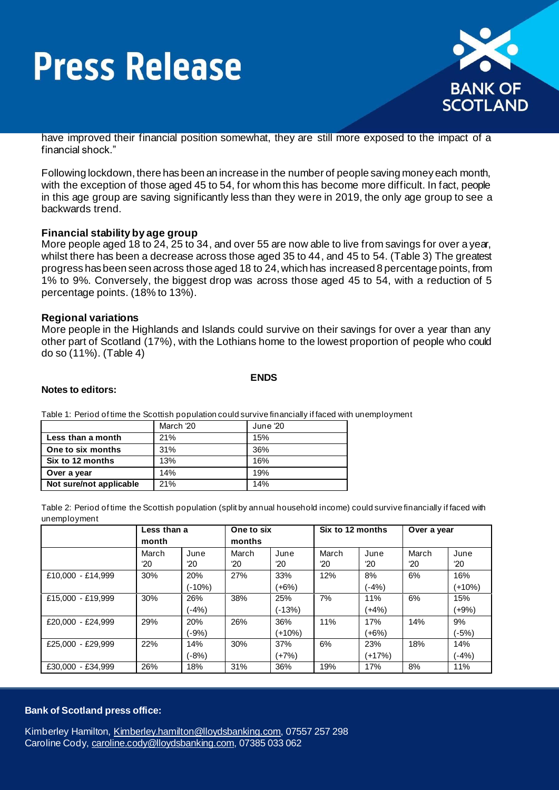# **Press Release**



have improved their financial position somewhat, they are still more exposed to the impact of a financial shock."

Following lockdown, there has been an increase in the number of people saving money each month, with the exception of those aged 45 to 54, for whom this has become more difficult. In fact, people in this age group are saving significantly less than they were in 2019, the only age group to see a backwards trend.

### **Financial stability by age group**

More people aged 18 to 24, 25 to 34, and over 55 are now able to live from savings for over a year, whilst there has been a decrease across those aged 35 to 44, and 45 to 54. (Table 3) The greatest progress has been seen across those aged 18 to 24, which has increased 8 percentage points, from 1% to 9%. Conversely, the biggest drop was across those aged 45 to 54, with a reduction of 5 percentage points. (18% to 13%).

#### **Regional variations**

More people in the Highlands and Islands could survive on their savings for over a year than any other part of Scotland (17%), with the Lothians home to the lowest proportion of people who could do so (11%). (Table 4)

#### **ENDS**

#### **Notes to editors:**

Table 1: Period of time the Scottish population could survive financially if faced with unemployment

|                         | March '20 | June '20 |
|-------------------------|-----------|----------|
| Less than a month       | 21%       | 15%      |
| One to six months       | 31%       | 36%      |
| Six to 12 months        | 13%       | 16%      |
| Over a year             | 14%       | 19%      |
| Not sure/not applicable | 21%       | 14%      |

Table 2: Period of time the Scottish population (split by annual household income) could survive financially if faced with unemployment

|                   | Less than a<br>month  |                | One to six<br>months |                      | Six to 12 months      |                      | Over a year           |                      |
|-------------------|-----------------------|----------------|----------------------|----------------------|-----------------------|----------------------|-----------------------|----------------------|
|                   | March<br>$20^{\circ}$ | June<br>'20    | March<br>'20         | June<br>$20^{\circ}$ | March<br>$20^{\circ}$ | June<br>$20^{\circ}$ | March<br>$^{\circ}20$ | June<br>$20^{\circ}$ |
| £10.000 - £14.999 | 30%                   | 20%<br>(-10%)  | 27%                  | 33%<br>(+6%)         | 12%                   | 8%<br>$-4%$          | 6%                    | 16%<br>(+10%)        |
| £15,000 - £19,999 | 30%                   | 26%<br>$(-4%)$ | 38%                  | 25%<br>(-13%)        | 7%                    | 11%<br>$(+4%)$       | 6%                    | 15%<br>(+9%)         |
| £20,000 - £24.999 | 29%                   | 20%<br>$(-9%)$ | 26%                  | 36%<br>(+10%)        | 11%                   | 17%<br>$+6\%)$       | 14%                   | 9%<br>(-5%)          |
| £25,000 - £29,999 | 22%                   | 14%<br>$(-8%)$ | 30%                  | 37%<br>(+7%)         | 6%                    | 23%<br>(+17%)        | 18%                   | 14%<br>(-4%)         |
| £30,000 - £34,999 | 26%                   | 18%            | 31%                  | 36%                  | 19%                   | 17%                  | 8%                    | 11%                  |

#### **Bank of Scotland press office:**

Kimberley Hamilton[, Kimberley.hamilton@lloydsbanking.com](mailto:Kimberley.hamilton@lloydsbanking.com), 07557 257 298 Caroline Cody[, caroline.cody@lloydsbanking.com](mailto:caroline.cody@lloydsbanking.com), 07385 033 062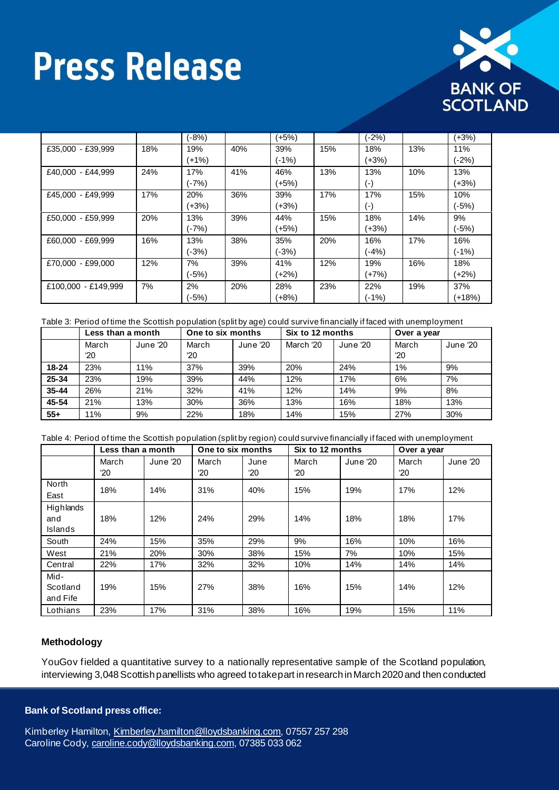# **Press Release**



|                     |     | (-8%) |     | (+5%)   |     | (-2%)              |     | $(+3%)$ |
|---------------------|-----|-------|-----|---------|-----|--------------------|-----|---------|
| £35,000 - £39,999   | 18% | 19%   | 40% | 39%     | 15% | 18%                | 13% | 11%     |
|                     |     | (+1%) |     | (-1%)   |     | (+3%)              |     | (-2%)   |
| £40,000 - £44,999   | 24% | 17%   | 41% | 46%     | 13% | 13%                | 10% | 13%     |
|                     |     | (-7%) |     | (+5%)   |     | (-)                |     | $(+3%)$ |
| £45,000 - £49,999   | 17% | 20%   | 36% | 39%     | 17% | 17%                | 15% | 10%     |
|                     |     | (+3%) |     | (+3%)   |     | $(\textnormal{-})$ |     | $(-5%)$ |
| £50,000 - £59,999   | 20% | 13%   | 39% | 44%     | 15% | 18%                | 14% | 9%      |
|                     |     | (-7%) |     | (+5%)   |     | (+3%)              |     | (-5%)   |
| £60.000 - £69.999   | 16% | 13%   | 38% | 35%     | 20% | 16%                | 17% | 16%     |
|                     |     | (-3%) |     | $(-3%)$ |     | (-4%)              |     | $(-1%)$ |
| £70.000 - £99.000   | 12% | 7%    | 39% | 41%     | 12% | 19%                | 16% | 18%     |
|                     |     | (-5%) |     | (+2%)   |     | (+7%)              |     | $(+2%)$ |
| £100,000 - £149,999 | 7%  | 2%    | 20% | 28%     | 23% | 22%                | 19% | 37%     |
|                     |     | (-5%) |     | (+8%)   |     | (-1%)              |     | (+18%)  |

#### Table 3: Period of time the Scottish population (split by age) could survive financially if faced with unemployment

|           | Less than a month     |          | One to six months     |          | Six to 12 months |          | Over a year |          |
|-----------|-----------------------|----------|-----------------------|----------|------------------|----------|-------------|----------|
|           | March<br>$20^{\circ}$ | June '20 | March<br>$20^{\circ}$ | June '20 | March '20        | June '20 | March<br>20 | June '20 |
| $18 - 24$ | 23%                   | 11%      | 37%                   | 39%      | 20%              | 24%      | $1\%$       | 9%       |
|           |                       |          |                       |          |                  |          |             |          |
| 25-34     | 23%                   | 19%      | 39%                   | 44%      | 12%              | 17%      | 6%          | 7%       |
| $35 - 44$ | 26%                   | 21%      | 32%                   | 41%      | 12%              | 14%      | 9%          | 8%       |
| 45-54     | 21%                   | 13%      | 30%                   | 36%      | 13%              | 16%      | 18%         | 13%      |
| $55+$     | 11%                   | 9%       | 22%                   | 18%      | 14%              | 15%      | 27%         | 30%      |

| Table 4: Period of time the Scottish population (split by region) could survive financially if faced with unemployment |  |  |
|------------------------------------------------------------------------------------------------------------------------|--|--|
|------------------------------------------------------------------------------------------------------------------------|--|--|

|                              | Less than a month     |          | One to six months     |                      | Six to 12 months      |          | Over a year           |          |
|------------------------------|-----------------------|----------|-----------------------|----------------------|-----------------------|----------|-----------------------|----------|
|                              | March<br>$20^{\circ}$ | June '20 | March<br>$20^{\circ}$ | June<br>$20^{\circ}$ | March<br>$20^{\circ}$ | June '20 | March<br>$20^{\circ}$ | June '20 |
| North<br>East                | 18%                   | 14%      | 31%                   | 40%                  | 15%                   | 19%      | 17%                   | 12%      |
| Highlands<br>and<br>Islands  | 18%                   | 12%      | 24%                   | 29%                  | 14%                   | 18%      | 18%                   | 17%      |
| South                        | 24%                   | 15%      | 35%                   | 29%                  | 9%                    | 16%      | 10%                   | 16%      |
| West                         | 21%                   | 20%      | 30%                   | 38%                  | 15%                   | 7%       | 10%                   | 15%      |
| Central                      | 22%                   | 17%      | 32%                   | 32%                  | 10%                   | 14%      | 14%                   | 14%      |
| Mid-<br>Scotland<br>and Fife | 19%                   | 15%      | 27%                   | 38%                  | 16%                   | 15%      | 14%                   | 12%      |
| Lothians                     | 23%                   | 17%      | 31%                   | 38%                  | 16%                   | 19%      | 15%                   | 11%      |

### **Methodology**

YouGov fielded a quantitative survey to a nationally representative sample of the Scotland population, interviewing 3,048 Scottish panellists who agreed to take part in research in March 2020 and then conducted

#### **Bank of Scotland press office:**

Kimberley Hamilton, *Kimberley.hamilton@lloydsbanking.com*, 07557 257 298 Caroline Cody[, caroline.cody@lloydsbanking.com](mailto:caroline.cody@lloydsbanking.com), 07385 033 062